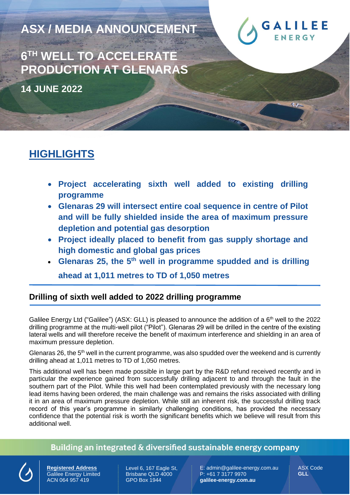**ASX / MEDIA ANNOUNCEMENT**



**6 TH WELL TO ACCELERATE PRODUCTION AT GLENARAS**

**14 JUNE 2022** 

# **HIGHLIGHTS**

- **Project accelerating sixth well added to existing drilling programme**
- **Glenaras 29 will intersect entire coal sequence in centre of Pilot and will be fully shielded inside the area of maximum pressure depletion and potential gas desorption**
- **Project ideally placed to benefit from gas supply shortage and high domestic and global gas prices**
- **Glenaras 25, the 5th well in programme spudded and is drilling**

**ahead at 1,011 metres to TD of 1,050 metres**

### **Drilling of sixth well added to 2022 drilling programme**

Galilee Energy Ltd ("Galilee") (ASX: GLL) is pleased to announce the addition of a 6<sup>th</sup> well to the 2022 drilling programme at the multi-well pilot ("Pilot"). Glenaras 29 will be drilled in the centre of the existing lateral wells and will therefore receive the benefit of maximum interference and shielding in an area of maximum pressure depletion.

Glenaras 26, the  $5<sup>th</sup>$  well in the current programme, was also spudded over the weekend and is currently drilling ahead at 1,011 metres to TD of 1,050 metres.

This additional well has been made possible in large part by the R&D refund received recently and in particular the experience gained from successfully drilling adjacent to and through the fault in the southern part of the Pilot. While this well had been contemplated previously with the necessary long lead items having been ordered, the main challenge was and remains the risks associated with drilling it in an area of maximum pressure depletion. While still an inherent risk, the successful drilling track record of this year's programme in similarly challenging conditions, has provided the necessary confidence that the potential risk is worth the significant benefits which we believe will result from this additional well.

#### Building an integrated & diversified sustainable energy company

**Registered Address** Galilee Energy Limited ACN 064 957 419

Level 6, 167 Eagle St, Brisbane QLD 4000 GPO Box 1944

E: admin@galilee-energy.com.au P: +61 7 3177 9970 **galilee-energy.com.au**

ASX Code **GLL**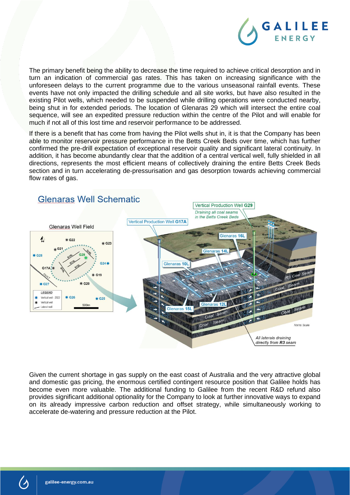

The primary benefit being the ability to decrease the time required to achieve critical desorption and in turn an indication of commercial gas rates. This has taken on increasing significance with the unforeseen delays to the current programme due to the various unseasonal rainfall events. These events have not only impacted the drilling schedule and all site works, but have also resulted in the existing Pilot wells, which needed to be suspended while drilling operations were conducted nearby, being shut in for extended periods. The location of Glenaras 29 which will intersect the entire coal sequence, will see an expedited pressure reduction within the centre of the Pilot and will enable for much if not all of this lost time and reservoir performance to be addressed.

If there is a benefit that has come from having the Pilot wells shut in, it is that the Company has been able to monitor reservoir pressure performance in the Betts Creek Beds over time, which has further confirmed the pre-drill expectation of exceptional reservoir quality and significant lateral continuity. In addition, it has become abundantly clear that the addition of a central vertical well, fully shielded in all directions, represents the most efficient means of collectively draining the entire Betts Creek Beds section and in turn accelerating de-pressurisation and gas desorption towards achieving commercial flow rates of gas.



Given the current shortage in gas supply on the east coast of Australia and the very attractive global and domestic gas pricing, the enormous certified contingent resource position that Galilee holds has become even more valuable. The additional funding to Galilee from the recent R&D refund also provides significant additional optionality for the Company to look at further innovative ways to expand on its already impressive carbon reduction and offset strategy, while simultaneously working to accelerate de-watering and pressure reduction at the Pilot.